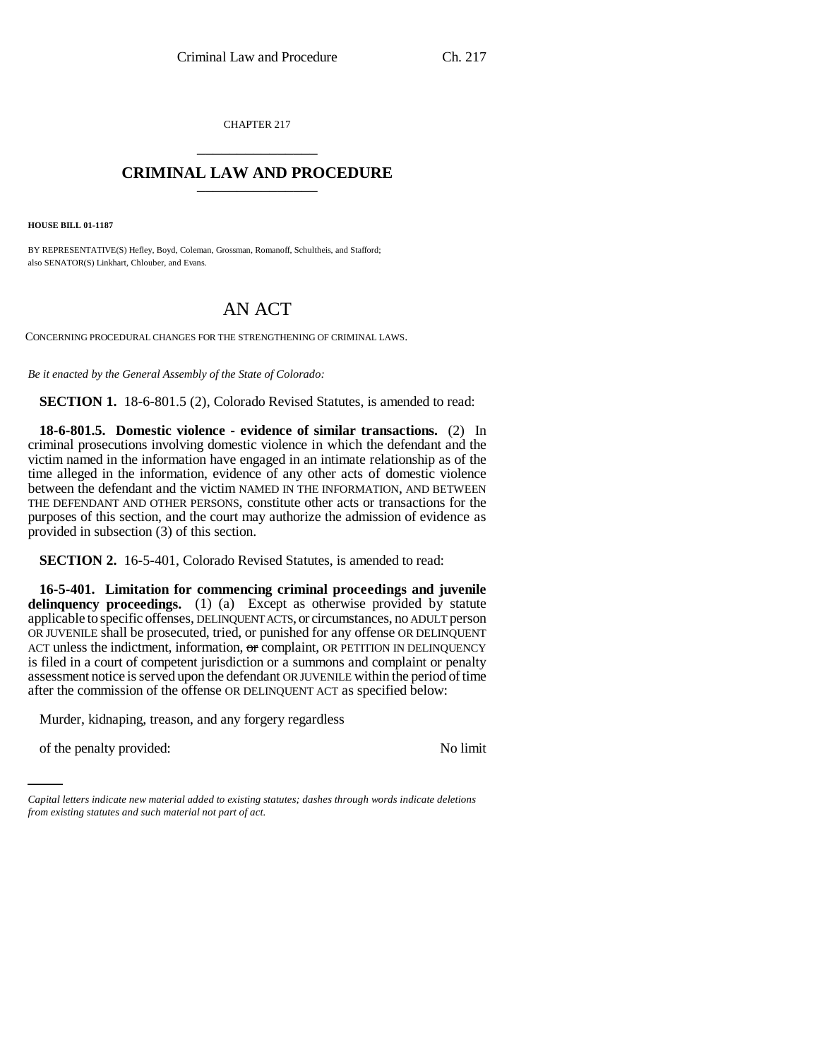CHAPTER 217 \_\_\_\_\_\_\_\_\_\_\_\_\_\_\_

## **CRIMINAL LAW AND PROCEDURE** \_\_\_\_\_\_\_\_\_\_\_\_\_\_\_

**HOUSE BILL 01-1187**

BY REPRESENTATIVE(S) Hefley, Boyd, Coleman, Grossman, Romanoff, Schultheis, and Stafford; also SENATOR(S) Linkhart, Chlouber, and Evans.

## AN ACT

CONCERNING PROCEDURAL CHANGES FOR THE STRENGTHENING OF CRIMINAL LAWS.

*Be it enacted by the General Assembly of the State of Colorado:*

**SECTION 1.** 18-6-801.5 (2), Colorado Revised Statutes, is amended to read:

**18-6-801.5. Domestic violence - evidence of similar transactions.** (2) In criminal prosecutions involving domestic violence in which the defendant and the victim named in the information have engaged in an intimate relationship as of the time alleged in the information, evidence of any other acts of domestic violence between the defendant and the victim NAMED IN THE INFORMATION, AND BETWEEN THE DEFENDANT AND OTHER PERSONS, constitute other acts or transactions for the purposes of this section, and the court may authorize the admission of evidence as provided in subsection (3) of this section.

**SECTION 2.** 16-5-401, Colorado Revised Statutes, is amended to read:

**16-5-401. Limitation for commencing criminal proceedings and juvenile** delinquency proceedings. (1) (a) Except as otherwise provided by statute applicable to specific offenses, DELINQUENT ACTS, or circumstances, no ADULT person OR JUVENILE shall be prosecuted, tried, or punished for any offense OR DELINQUENT ACT unless the indictment, information,  $\sigma$  complaint, OR PETITION IN DELINQUENCY is filed in a court of competent jurisdiction or a summons and complaint or penalty assessment notice is served upon the defendant OR JUVENILE within the period of time after the commission of the offense OR DELINQUENT ACT as specified below:

Murder, kidnaping, treason, and any forgery regardless

of the penalty provided: No limit

*Capital letters indicate new material added to existing statutes; dashes through words indicate deletions from existing statutes and such material not part of act.*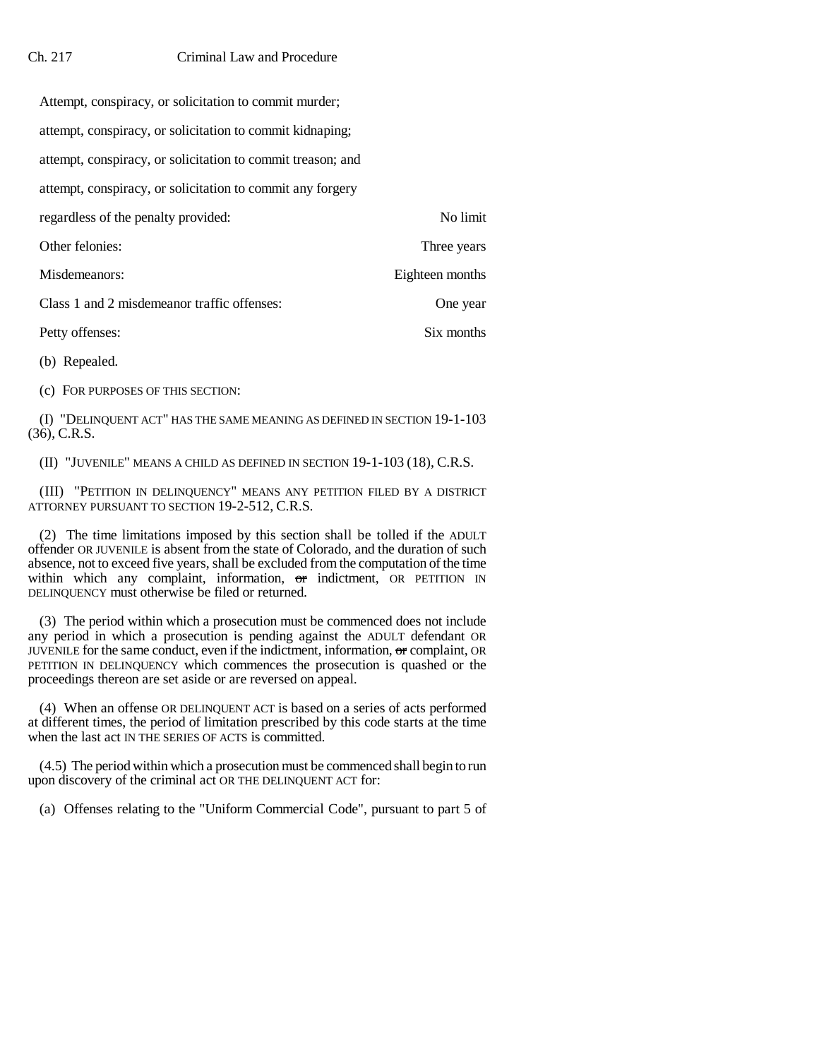| Attempt, conspiracy, or solicitation to commit murder;      |                 |  |
|-------------------------------------------------------------|-----------------|--|
| attempt, conspiracy, or solicitation to commit kidnaping;   |                 |  |
| attempt, conspiracy, or solicitation to commit treason; and |                 |  |
| attempt, conspiracy, or solicitation to commit any forgery  |                 |  |
| regardless of the penalty provided:                         | No limit        |  |
| Other felonies:                                             | Three years     |  |
| Misdemeanors:                                               | Eighteen months |  |
| Class 1 and 2 misdemeanor traffic offenses:                 | One year        |  |
| Petty offenses:                                             | Six months      |  |
|                                                             |                 |  |

(b) Repealed.

(c) FOR PURPOSES OF THIS SECTION:

(I) "DELINQUENT ACT" HAS THE SAME MEANING AS DEFINED IN SECTION 19-1-103 (36), C.R.S.

(II) "JUVENILE" MEANS A CHILD AS DEFINED IN SECTION 19-1-103 (18), C.R.S.

(III) "PETITION IN DELINQUENCY" MEANS ANY PETITION FILED BY A DISTRICT ATTORNEY PURSUANT TO SECTION 19-2-512, C.R.S.

(2) The time limitations imposed by this section shall be tolled if the ADULT offender OR JUVENILE is absent from the state of Colorado, and the duration of such absence, not to exceed five years, shall be excluded from the computation of the time within which any complaint, information, or indictment, OR PETITION IN DELINQUENCY must otherwise be filed or returned.

(3) The period within which a prosecution must be commenced does not include any period in which a prosecution is pending against the ADULT defendant OR JUVENILE for the same conduct, even if the indictment, information, or complaint, OR PETITION IN DELINQUENCY which commences the prosecution is quashed or the proceedings thereon are set aside or are reversed on appeal.

(4) When an offense OR DELINQUENT ACT is based on a series of acts performed at different times, the period of limitation prescribed by this code starts at the time when the last act IN THE SERIES OF ACTS is committed.

(4.5) The period within which a prosecution must be commenced shall begin to run upon discovery of the criminal act OR THE DELINQUENT ACT for:

(a) Offenses relating to the "Uniform Commercial Code", pursuant to part 5 of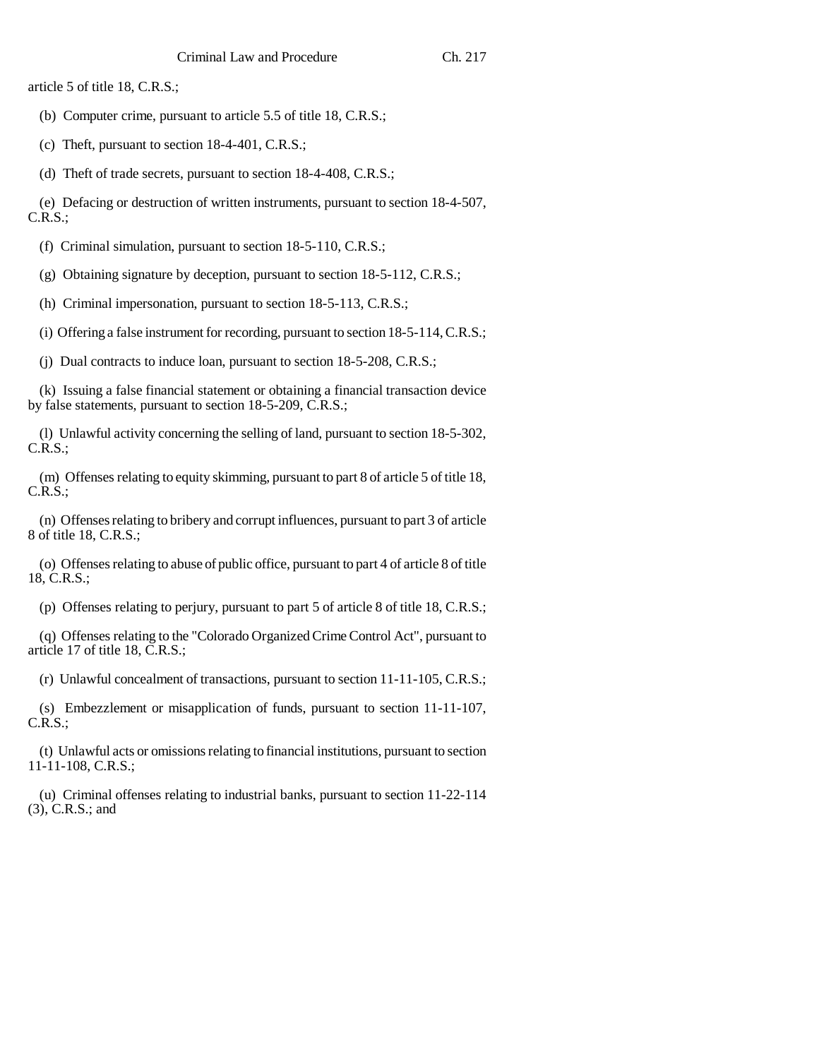article 5 of title 18, C.R.S.;

(b) Computer crime, pursuant to article 5.5 of title 18, C.R.S.;

(c) Theft, pursuant to section 18-4-401, C.R.S.;

(d) Theft of trade secrets, pursuant to section 18-4-408, C.R.S.;

(e) Defacing or destruction of written instruments, pursuant to section 18-4-507, C.R.S.;

(f) Criminal simulation, pursuant to section 18-5-110, C.R.S.;

(g) Obtaining signature by deception, pursuant to section 18-5-112, C.R.S.;

(h) Criminal impersonation, pursuant to section 18-5-113, C.R.S.;

(i) Offering a false instrument for recording, pursuant to section 18-5-114, C.R.S.;

(j) Dual contracts to induce loan, pursuant to section 18-5-208, C.R.S.;

(k) Issuing a false financial statement or obtaining a financial transaction device by false statements, pursuant to section 18-5-209, C.R.S.;

(l) Unlawful activity concerning the selling of land, pursuant to section 18-5-302, C.R.S.;

(m) Offenses relating to equity skimming, pursuant to part 8 of article 5 of title 18, C.R.S.;

(n) Offenses relating to bribery and corrupt influences, pursuant to part 3 of article 8 of title 18, C.R.S.;

(o) Offenses relating to abuse of public office, pursuant to part 4 of article 8 of title 18, C.R.S.;

(p) Offenses relating to perjury, pursuant to part 5 of article 8 of title 18, C.R.S.;

(q) Offenses relating to the "Colorado Organized Crime Control Act", pursuant to article 17 of title 18, C.R.S.;

(r) Unlawful concealment of transactions, pursuant to section 11-11-105, C.R.S.;

(s) Embezzlement or misapplication of funds, pursuant to section 11-11-107, C.R.S.;

(t) Unlawful acts or omissions relating to financial institutions, pursuant to section 11-11-108, C.R.S.;

(u) Criminal offenses relating to industrial banks, pursuant to section 11-22-114 (3), C.R.S.; and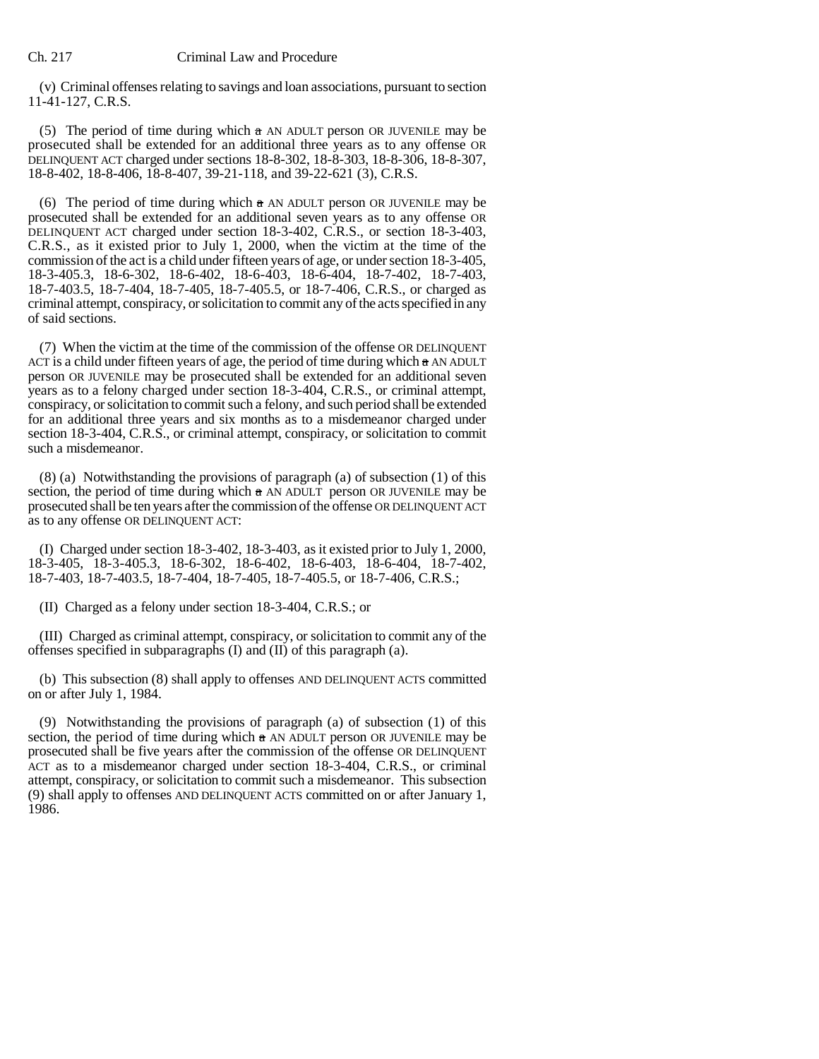(v) Criminal offenses relating to savings and loan associations, pursuant to section 11-41-127, C.R.S.

(5) The period of time during which a AN ADULT person OR JUVENILE may be prosecuted shall be extended for an additional three years as to any offense OR DELINQUENT ACT charged under sections 18-8-302, 18-8-303, 18-8-306, 18-8-307, 18-8-402, 18-8-406, 18-8-407, 39-21-118, and 39-22-621 (3), C.R.S.

(6) The period of time during which  $\alpha$  AN ADULT person OR JUVENILE may be prosecuted shall be extended for an additional seven years as to any offense OR DELINQUENT ACT charged under section 18-3-402, C.R.S., or section 18-3-403, C.R.S., as it existed prior to July 1, 2000, when the victim at the time of the commission of the act is a child under fifteen years of age, or under section 18-3-405, 18-3-405.3, 18-6-302, 18-6-402, 18-6-403, 18-6-404, 18-7-402, 18-7-403, 18-7-403.5, 18-7-404, 18-7-405, 18-7-405.5, or 18-7-406, C.R.S., or charged as criminal attempt, conspiracy, or solicitation to commit any of the acts specified in any of said sections.

(7) When the victim at the time of the commission of the offense OR DELINQUENT ACT is a child under fifteen years of age, the period of time during which a AN ADULT person OR JUVENILE may be prosecuted shall be extended for an additional seven years as to a felony charged under section 18-3-404, C.R.S., or criminal attempt, conspiracy, or solicitation to commit such a felony, and such period shall be extended for an additional three years and six months as to a misdemeanor charged under section 18-3-404, C.R.S., or criminal attempt, conspiracy, or solicitation to commit such a misdemeanor.

(8) (a) Notwithstanding the provisions of paragraph (a) of subsection (1) of this section, the period of time during which  $a$  AN ADULT person OR JUVENILE may be prosecuted shall be ten years after the commission of the offense OR DELINQUENT ACT as to any offense OR DELINQUENT ACT:

(I) Charged under section 18-3-402, 18-3-403, as it existed prior to July 1, 2000, 18-3-405, 18-3-405.3, 18-6-302, 18-6-402, 18-6-403, 18-6-404, 18-7-402, 18-7-403, 18-7-403.5, 18-7-404, 18-7-405, 18-7-405.5, or 18-7-406, C.R.S.;

(II) Charged as a felony under section 18-3-404, C.R.S.; or

(III) Charged as criminal attempt, conspiracy, or solicitation to commit any of the offenses specified in subparagraphs  $(I)$  and  $(II)$  of this paragraph  $(a)$ .

(b) This subsection (8) shall apply to offenses AND DELINQUENT ACTS committed on or after July 1, 1984.

(9) Notwithstanding the provisions of paragraph (a) of subsection (1) of this section, the period of time during which  $\frac{1}{a}$  AN ADULT person OR JUVENILE may be prosecuted shall be five years after the commission of the offense OR DELINQUENT ACT as to a misdemeanor charged under section 18-3-404, C.R.S., or criminal attempt, conspiracy, or solicitation to commit such a misdemeanor. This subsection (9) shall apply to offenses AND DELINQUENT ACTS committed on or after January 1, 1986.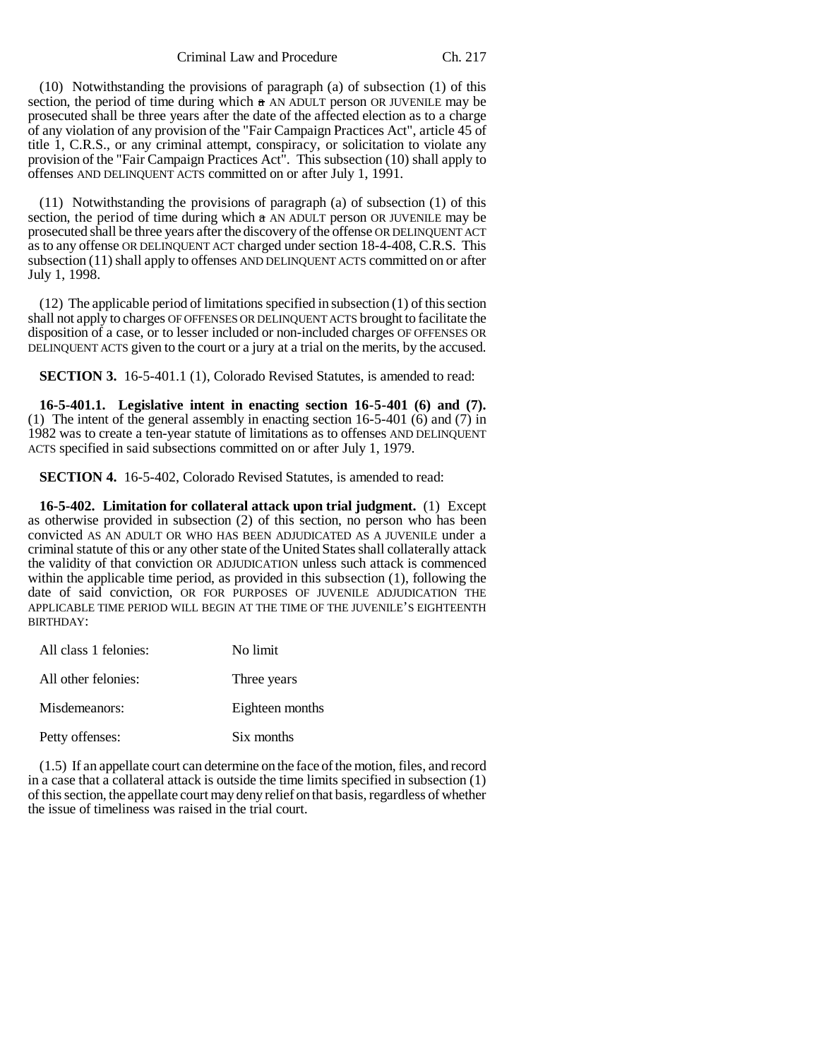Criminal Law and Procedure Ch. 217

(10) Notwithstanding the provisions of paragraph (a) of subsection (1) of this section, the period of time during which  $\alpha$  AN ADULT person OR JUVENILE may be prosecuted shall be three years after the date of the affected election as to a charge of any violation of any provision of the "Fair Campaign Practices Act", article 45 of title 1, C.R.S., or any criminal attempt, conspiracy, or solicitation to violate any provision of the "Fair Campaign Practices Act". This subsection (10) shall apply to offenses AND DELINQUENT ACTS committed on or after July 1, 1991.

(11) Notwithstanding the provisions of paragraph (a) of subsection (1) of this section, the period of time during which  $\alpha$  AN ADULT person OR JUVENILE may be prosecuted shall be three years after the discovery of the offense OR DELINQUENT ACT as to any offense OR DELINQUENT ACT charged under section 18-4-408, C.R.S. This subsection (11) shall apply to offenses AND DELINQUENT ACTS committed on or after July 1, 1998.

(12) The applicable period of limitations specified in subsection (1) of this section shall not apply to charges OF OFFENSES OR DELINQUENT ACTS brought to facilitate the disposition of a case, or to lesser included or non-included charges OF OFFENSES OR DELINQUENT ACTS given to the court or a jury at a trial on the merits, by the accused.

**SECTION 3.** 16-5-401.1 (1), Colorado Revised Statutes, is amended to read:

**16-5-401.1. Legislative intent in enacting section 16-5-401 (6) and (7).** (1) The intent of the general assembly in enacting section 16-5-401 (6) and (7) in 1982 was to create a ten-year statute of limitations as to offenses AND DELINQUENT ACTS specified in said subsections committed on or after July 1, 1979.

**SECTION 4.** 16-5-402, Colorado Revised Statutes, is amended to read:

**16-5-402. Limitation for collateral attack upon trial judgment.** (1) Except as otherwise provided in subsection (2) of this section, no person who has been convicted AS AN ADULT OR WHO HAS BEEN ADJUDICATED AS A JUVENILE under a criminal statute of this or any other state of the United States shall collaterally attack the validity of that conviction OR ADJUDICATION unless such attack is commenced within the applicable time period, as provided in this subsection (1), following the date of said conviction, OR FOR PURPOSES OF JUVENILE ADJUDICATION THE APPLICABLE TIME PERIOD WILL BEGIN AT THE TIME OF THE JUVENILE'S EIGHTEENTH BIRTHDAY:

| All class 1 felonies: | No limit        |
|-----------------------|-----------------|
| All other felonies:   | Three years     |
| Misdemeanors:         | Eighteen months |
| Petty offenses:       | Six months      |

(1.5) If an appellate court can determine on the face of the motion, files, and record in a case that a collateral attack is outside the time limits specified in subsection (1) of this section, the appellate court may deny relief on that basis, regardless of whether the issue of timeliness was raised in the trial court.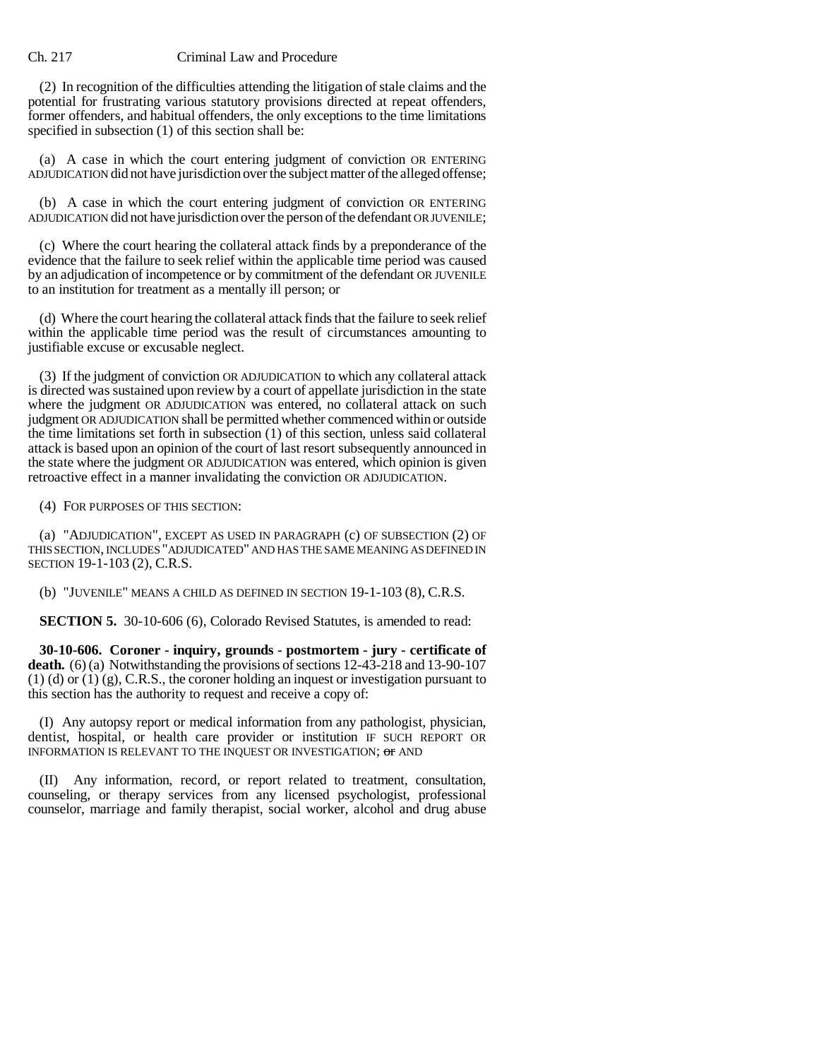## Ch. 217 Criminal Law and Procedure

(2) In recognition of the difficulties attending the litigation of stale claims and the potential for frustrating various statutory provisions directed at repeat offenders, former offenders, and habitual offenders, the only exceptions to the time limitations specified in subsection (1) of this section shall be:

(a) A case in which the court entering judgment of conviction OR ENTERING ADJUDICATION did not have jurisdiction over the subject matter of the alleged offense;

(b) A case in which the court entering judgment of conviction OR ENTERING ADJUDICATION did not have jurisdiction over the person of the defendant OR JUVENILE;

(c) Where the court hearing the collateral attack finds by a preponderance of the evidence that the failure to seek relief within the applicable time period was caused by an adjudication of incompetence or by commitment of the defendant OR JUVENILE to an institution for treatment as a mentally ill person; or

(d) Where the court hearing the collateral attack finds that the failure to seek relief within the applicable time period was the result of circumstances amounting to justifiable excuse or excusable neglect.

(3) If the judgment of conviction OR ADJUDICATION to which any collateral attack is directed was sustained upon review by a court of appellate jurisdiction in the state where the judgment OR ADJUDICATION was entered, no collateral attack on such judgment OR ADJUDICATION shall be permitted whether commenced within or outside the time limitations set forth in subsection (1) of this section, unless said collateral attack is based upon an opinion of the court of last resort subsequently announced in the state where the judgment OR ADJUDICATION was entered, which opinion is given retroactive effect in a manner invalidating the conviction OR ADJUDICATION.

(4) FOR PURPOSES OF THIS SECTION:

(a) "ADJUDICATION", EXCEPT AS USED IN PARAGRAPH (c) OF SUBSECTION (2) OF THIS SECTION, INCLUDES "ADJUDICATED" AND HAS THE SAME MEANING AS DEFINED IN SECTION 19-1-103 (2), C.R.S.

(b) "JUVENILE" MEANS A CHILD AS DEFINED IN SECTION 19-1-103 (8), C.R.S.

**SECTION 5.** 30-10-606 (6), Colorado Revised Statutes, is amended to read:

**30-10-606. Coroner - inquiry, grounds - postmortem - jury - certificate of death.** (6) (a) Notwithstanding the provisions of sections 12-43-218 and 13-90-107 (1) (d) or (1) (g), C.R.S., the coroner holding an inquest or investigation pursuant to this section has the authority to request and receive a copy of:

(I) Any autopsy report or medical information from any pathologist, physician, dentist, hospital, or health care provider or institution IF SUCH REPORT OR INFORMATION IS RELEVANT TO THE INQUEST OR INVESTIGATION; or AND

(II) Any information, record, or report related to treatment, consultation, counseling, or therapy services from any licensed psychologist, professional counselor, marriage and family therapist, social worker, alcohol and drug abuse